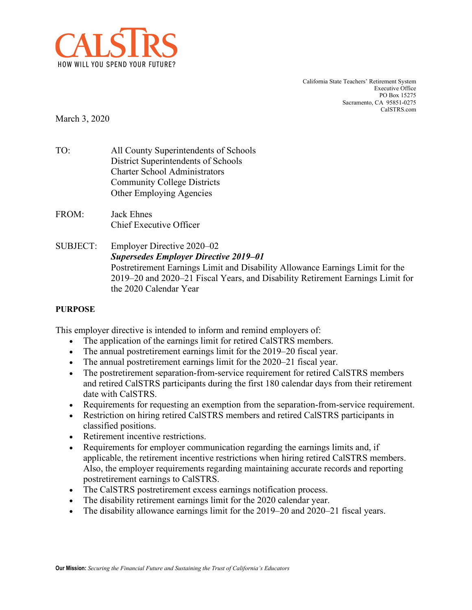

California State Teachers' Retirement System Executive Office PO Box 15275 Sacramento, CA 95851-0275 CalSTRS.com

March 3, 2020

- TO: All County Superintendents of Schools District Superintendents of Schools Charter School Administrators Community College Districts Other Employing Agencies
- FROM: Jack Ehnes Chief Executive Officer
- SUBJECT: Employer Directive 2020–02 *Supersedes Employer Directive 2019–01* Postretirement Earnings Limit and Disability Allowance Earnings Limit for the 2019–20 and 2020–21 Fiscal Years, and Disability Retirement Earnings Limit for the 2020 Calendar Year

## **PURPOSE**

This employer directive is intended to inform and remind employers of:

- The application of the earnings limit for retired CalSTRS members.
- The annual postretirement earnings limit for the 2019–20 fiscal year.
- The annual postretirement earnings limit for the 2020–21 fiscal year.
- The postretirement separation-from-service requirement for retired CalSTRS members and retired CalSTRS participants during the first 180 calendar days from their retirement date with CalSTRS.
- Requirements for requesting an exemption from the separation-from-service requirement.
- Restriction on hiring retired CalSTRS members and retired CalSTRS participants in classified positions.
- Retirement incentive restrictions.
- Requirements for employer communication regarding the earnings limits and, if applicable, the retirement incentive restrictions when hiring retired CalSTRS members. Also, the employer requirements regarding maintaining accurate records and reporting postretirement earnings to CalSTRS.
- The CalSTRS postretirement excess earnings notification process.
- The disability retirement earnings limit for the 2020 calendar year.
- The disability allowance earnings limit for the 2019–20 and 2020–21 fiscal years.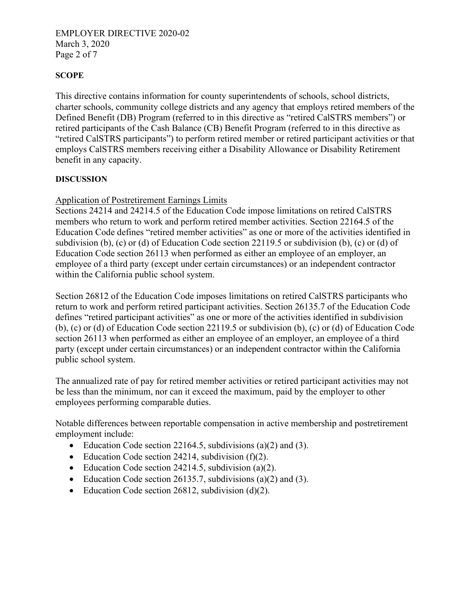## EMPLOYER DIRECTIVE 2020-02 March 3, 2020 Page 2 of 7

### **SCOPE**

This directive contains information for county superintendents of schools, school districts, charter schools, community college districts and any agency that employs retired members of the Defined Benefit (DB) Program (referred to in this directive as "retired CalSTRS members") or retired participants of the Cash Balance (CB) Benefit Program (referred to in this directive as "retired CalSTRS participants") to perform retired member or retired participant activities or that employs CalSTRS members receiving either a Disability Allowance or Disability Retirement benefit in any capacity.

#### **DISCUSSION**

### Application of Postretirement Earnings Limits

Sections 24214 and 24214.5 of the Education Code impose limitations on retired CalSTRS members who return to work and perform retired member activities. Section 22164.5 of the Education Code defines "retired member activities" as one or more of the activities identified in subdivision (b), (c) or (d) of Education Code section 22119.5 or subdivision (b), (c) or (d) of Education Code section 26113 when performed as either an employee of an employer, an employee of a third party (except under certain circumstances) or an independent contractor within the California public school system.

Section 26812 of the Education Code imposes limitations on retired CalSTRS participants who return to work and perform retired participant activities. Section 26135.7 of the Education Code defines "retired participant activities" as one or more of the activities identified in subdivision (b), (c) or (d) of Education Code section 22119.5 or subdivision (b), (c) or (d) of Education Code section 26113 when performed as either an employee of an employer, an employee of a third party (except under certain circumstances) or an independent contractor within the California public school system.

The annualized rate of pay for retired member activities or retired participant activities may not be less than the minimum, nor can it exceed the maximum, paid by the employer to other employees performing comparable duties.

Notable differences between reportable compensation in active membership and postretirement employment include:

- Education Code section 22164.5, subdivisions (a)(2) and (3).
- Education Code section 24214, subdivision  $(f)(2)$ .
- Education Code section 24214.5, subdivision (a)(2).
- Education Code section 26135.7, subdivisions (a)(2) and (3).
- Education Code section 26812, subdivision (d)(2).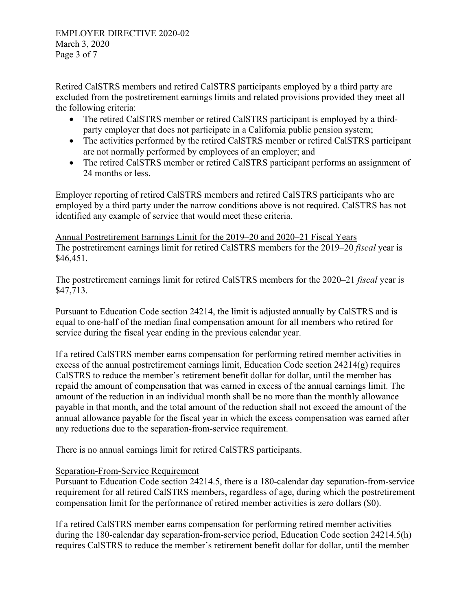Retired CalSTRS members and retired CalSTRS participants employed by a third party are excluded from the postretirement earnings limits and related provisions provided they meet all the following criteria:

- The retired CalSTRS member or retired CalSTRS participant is employed by a thirdparty employer that does not participate in a California public pension system;
- The activities performed by the retired CalSTRS member or retired CalSTRS participant are not normally performed by employees of an employer; and
- The retired CalSTRS member or retired CalSTRS participant performs an assignment of 24 months or less.

Employer reporting of retired CalSTRS members and retired CalSTRS participants who are employed by a third party under the narrow conditions above is not required. CalSTRS has not identified any example of service that would meet these criteria.

Annual Postretirement Earnings Limit for the 2019–20 and 2020–21 Fiscal Years The postretirement earnings limit for retired CalSTRS members for the 2019–20 *fiscal* year is \$46,451.

The postretirement earnings limit for retired CalSTRS members for the 2020–21 *fiscal* year is \$47,713.

Pursuant to Education Code section 24214, the limit is adjusted annually by CalSTRS and is equal to one-half of the median final compensation amount for all members who retired for service during the fiscal year ending in the previous calendar year.

If a retired CalSTRS member earns compensation for performing retired member activities in excess of the annual postretirement earnings limit, Education Code section 24214(g) requires CalSTRS to reduce the member's retirement benefit dollar for dollar, until the member has repaid the amount of compensation that was earned in excess of the annual earnings limit. The amount of the reduction in an individual month shall be no more than the monthly allowance payable in that month, and the total amount of the reduction shall not exceed the amount of the annual allowance payable for the fiscal year in which the excess compensation was earned after any reductions due to the separation-from-service requirement.

There is no annual earnings limit for retired CalSTRS participants.

# Separation-From-Service Requirement

Pursuant to Education Code section 24214.5, there is a 180-calendar day separation-from-service requirement for all retired CalSTRS members, regardless of age, during which the postretirement compensation limit for the performance of retired member activities is zero dollars (\$0).

If a retired CalSTRS member earns compensation for performing retired member activities during the 180-calendar day separation-from-service period, Education Code section 24214.5(h) requires CalSTRS to reduce the member's retirement benefit dollar for dollar, until the member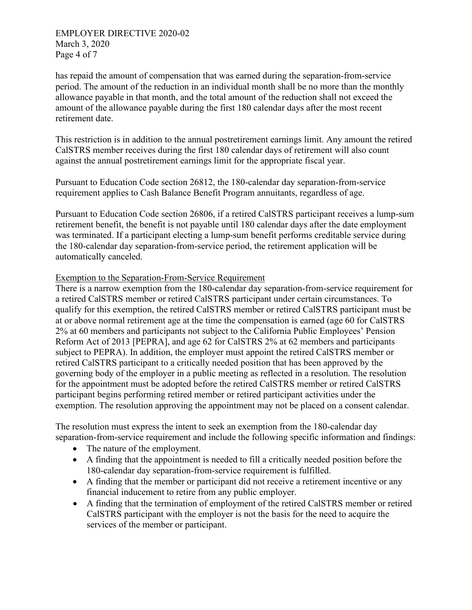EMPLOYER DIRECTIVE 2020-02 March 3, 2020 Page 4 of 7

has repaid the amount of compensation that was earned during the separation-from-service period. The amount of the reduction in an individual month shall be no more than the monthly allowance payable in that month, and the total amount of the reduction shall not exceed the amount of the allowance payable during the first 180 calendar days after the most recent retirement date.

This restriction is in addition to the annual postretirement earnings limit. Any amount the retired CalSTRS member receives during the first 180 calendar days of retirement will also count against the annual postretirement earnings limit for the appropriate fiscal year.

Pursuant to Education Code section 26812, the 180-calendar day separation-from-service requirement applies to Cash Balance Benefit Program annuitants, regardless of age.

Pursuant to Education Code section 26806, if a retired CalSTRS participant receives a lump-sum retirement benefit, the benefit is not payable until 180 calendar days after the date employment was terminated. If a participant electing a lump-sum benefit performs creditable service during the 180-calendar day separation-from-service period, the retirement application will be automatically canceled.

### Exemption to the Separation-From-Service Requirement

There is a narrow exemption from the 180-calendar day separation-from-service requirement for a retired CalSTRS member or retired CalSTRS participant under certain circumstances. To qualify for this exemption, the retired CalSTRS member or retired CalSTRS participant must be at or above normal retirement age at the time the compensation is earned (age 60 for CalSTRS 2% at 60 members and participants not subject to the California Public Employees' Pension Reform Act of 2013 [PEPRA], and age 62 for CalSTRS 2% at 62 members and participants subject to PEPRA). In addition, the employer must appoint the retired CalSTRS member or retired CalSTRS participant to a critically needed position that has been approved by the governing body of the employer in a public meeting as reflected in a resolution. The resolution for the appointment must be adopted before the retired CalSTRS member or retired CalSTRS participant begins performing retired member or retired participant activities under the exemption. The resolution approving the appointment may not be placed on a consent calendar.

The resolution must express the intent to seek an exemption from the 180-calendar day separation-from-service requirement and include the following specific information and findings:

- The nature of the employment.
- A finding that the appointment is needed to fill a critically needed position before the 180-calendar day separation-from-service requirement is fulfilled.
- A finding that the member or participant did not receive a retirement incentive or any financial inducement to retire from any public employer.
- A finding that the termination of employment of the retired CalSTRS member or retired CalSTRS participant with the employer is not the basis for the need to acquire the services of the member or participant.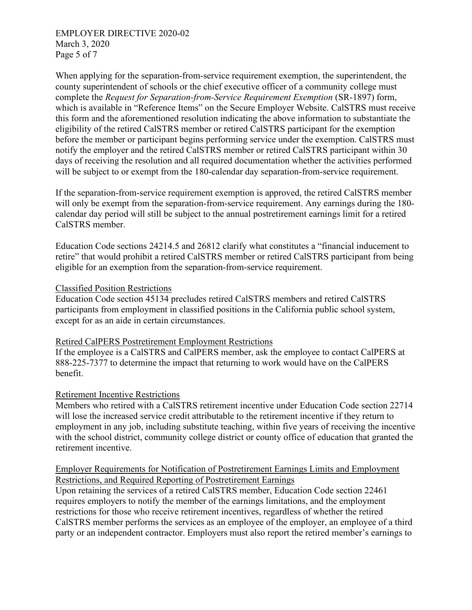EMPLOYER DIRECTIVE 2020-02 March 3, 2020 Page 5 of 7

When applying for the separation-from-service requirement exemption, the superintendent, the county superintendent of schools or the chief executive officer of a community college must complete the *Request for Separation-from-Service Requirement Exemption* (SR-1897) form, which is available in "Reference Items" on the Secure Employer Website. CalSTRS must receive this form and the aforementioned resolution indicating the above information to substantiate the eligibility of the retired CalSTRS member or retired CalSTRS participant for the exemption before the member or participant begins performing service under the exemption. CalSTRS must notify the employer and the retired CalSTRS member or retired CalSTRS participant within 30 days of receiving the resolution and all required documentation whether the activities performed will be subject to or exempt from the 180-calendar day separation-from-service requirement.

If the separation-from-service requirement exemption is approved, the retired CalSTRS member will only be exempt from the separation-from-service requirement. Any earnings during the 180calendar day period will still be subject to the annual postretirement earnings limit for a retired CalSTRS member.

Education Code sections 24214.5 and 26812 clarify what constitutes a "financial inducement to retire" that would prohibit a retired CalSTRS member or retired CalSTRS participant from being eligible for an exemption from the separation-from-service requirement.

#### Classified Position Restrictions

Education Code section 45134 precludes retired CalSTRS members and retired CalSTRS participants from employment in classified positions in the California public school system, except for as an aide in certain circumstances.

#### Retired CalPERS Postretirement Employment Restrictions

If the employee is a CalSTRS and CalPERS member, ask the employee to contact CalPERS at 888-225-7377 to determine the impact that returning to work would have on the CalPERS benefit.

#### Retirement Incentive Restrictions

Members who retired with a CalSTRS retirement incentive under Education Code section 22714 will lose the increased service credit attributable to the retirement incentive if they return to employment in any job, including substitute teaching, within five years of receiving the incentive with the school district, community college district or county office of education that granted the retirement incentive.

## Employer Requirements for Notification of Postretirement Earnings Limits and Employment Restrictions, and Required Reporting of Postretirement Earnings

Upon retaining the services of a retired CalSTRS member, Education Code section 22461 requires employers to notify the member of the earnings limitations, and the employment restrictions for those who receive retirement incentives, regardless of whether the retired CalSTRS member performs the services as an employee of the employer, an employee of a third party or an independent contractor. Employers must also report the retired member's earnings to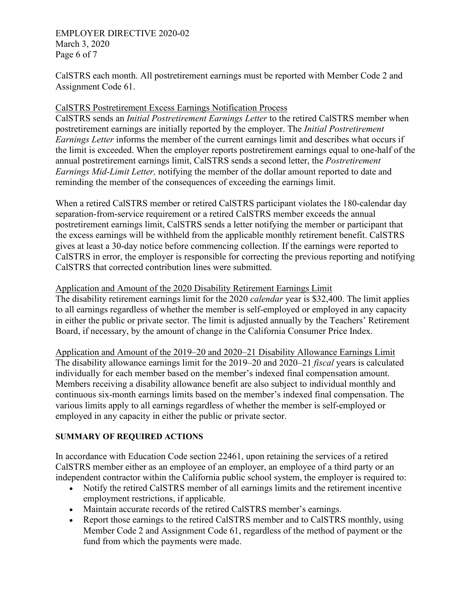### EMPLOYER DIRECTIVE 2020-02 March 3, 2020 Page 6 of 7

CalSTRS each month. All postretirement earnings must be reported with Member Code 2 and Assignment Code 61.

# CalSTRS Postretirement Excess Earnings Notification Process

CalSTRS sends an *Initial Postretirement Earnings Letter* to the retired CalSTRS member when postretirement earnings are initially reported by the employer. The *Initial Postretirement Earnings Letter* informs the member of the current earnings limit and describes what occurs if the limit is exceeded. When the employer reports postretirement earnings equal to one-half of the annual postretirement earnings limit, CalSTRS sends a second letter, the *Postretirement Earnings Mid-Limit Letter,* notifying the member of the dollar amount reported to date and reminding the member of the consequences of exceeding the earnings limit.

When a retired CalSTRS member or retired CalSTRS participant violates the 180-calendar day separation-from-service requirement or a retired CalSTRS member exceeds the annual postretirement earnings limit, CalSTRS sends a letter notifying the member or participant that the excess earnings will be withheld from the applicable monthly retirement benefit. CalSTRS gives at least a 30-day notice before commencing collection. If the earnings were reported to CalSTRS in error, the employer is responsible for correcting the previous reporting and notifying CalSTRS that corrected contribution lines were submitted.

## Application and Amount of the 2020 Disability Retirement Earnings Limit

The disability retirement earnings limit for the 2020 *calendar* year is \$32,400. The limit applies to all earnings regardless of whether the member is self-employed or employed in any capacity in either the public or private sector. The limit is adjusted annually by the Teachers' Retirement Board, if necessary, by the amount of change in the California Consumer Price Index.

Application and Amount of the 2019–20 and 2020–21 Disability Allowance Earnings Limit The disability allowance earnings limit for the 2019–20 and 2020–21 *fiscal* years is calculated individually for each member based on the member's indexed final compensation amount. Members receiving a disability allowance benefit are also subject to individual monthly and continuous six-month earnings limits based on the member's indexed final compensation. The various limits apply to all earnings regardless of whether the member is self-employed or employed in any capacity in either the public or private sector.

# **SUMMARY OF REQUIRED ACTIONS**

In accordance with Education Code section 22461, upon retaining the services of a retired CalSTRS member either as an employee of an employer, an employee of a third party or an independent contractor within the California public school system, the employer is required to:

- Notify the retired CalSTRS member of all earnings limits and the retirement incentive employment restrictions, if applicable.
- Maintain accurate records of the retired CalSTRS member's earnings.
- Report those earnings to the retired CalSTRS member and to CalSTRS monthly, using Member Code 2 and Assignment Code 61, regardless of the method of payment or the fund from which the payments were made.